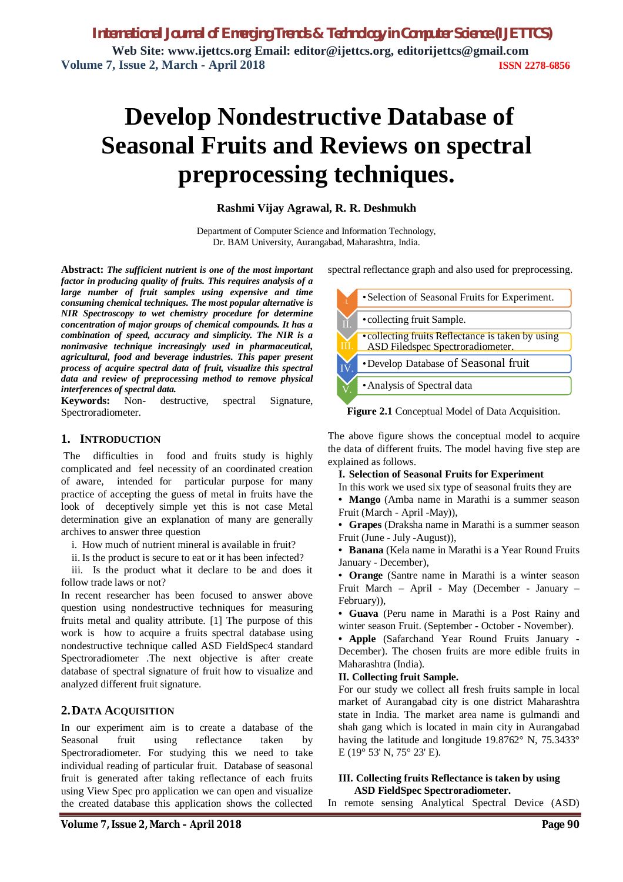# **Develop Nondestructive Database of Seasonal Fruits and Reviews on spectral preprocessing techniques.**

# **Rashmi Vijay Agrawal, R. R. Deshmukh**

Department of Computer Science and Information Technology, Dr. BAM University, Aurangabad, Maharashtra, India.

**Abstract:** *The sufficient nutrient is one of the most important factor in producing quality of fruits. This requires analysis of a large number of fruit samples using expensive and time consuming chemical techniques. The most popular alternative is NIR Spectroscopy to wet chemistry procedure for determine concentration of major groups of chemical compounds. It has a combination of speed, accuracy and simplicity. The NIR is a noninvasive technique increasingly used in pharmaceutical, agricultural, food and beverage industries. This paper present process of acquire spectral data of fruit, visualize this spectral data and review of preprocessing method to remove physical interferences of spectral data.*

**Keywords:** Non- destructive, spectral Signature, Spectroradiometer.

# **1. INTRODUCTION**

The difficulties in food and fruits study is highly complicated and feel necessity of an coordinated creation of aware, intended for particular purpose for many practice of accepting the guess of metal in fruits have the look of deceptively simple yet this is not case Metal determination give an explanation of many are generally archives to answer three question

i. How much of nutrient mineral is available in fruit?

ii. Is the product is secure to eat or it has been infected?

iii. Is the product what it declare to be and does it follow trade laws or not?

In recent researcher has been focused to answer above question using nondestructive techniques for measuring fruits metal and quality attribute. [1] The purpose of this work is how to acquire a fruits spectral database using nondestructive technique called ASD FieldSpec4 standard Spectroradiometer .The next objective is after create database of spectral signature of fruit how to visualize and analyzed different fruit signature.

# **2.DATA ACQUISITION**

In our experiment aim is to create a database of the Seasonal fruit using reflectance taken by Spectroradiometer. For studying this we need to take individual reading of particular fruit. Database of seasonal fruit is generated after taking reflectance of each fruits using View Spec pro application we can open and visualize the created database this application shows the collected

spectral reflectance graph and also used for preprocessing.



**Figure 2.1** Conceptual Model of Data Acquisition.

The above figure shows the conceptual model to acquire the data of different fruits. The model having five step are explained as follows.

**I. Selection of Seasonal Fruits for Experiment**

In this work we used six type of seasonal fruits they are

**• Mango** (Amba name in Marathi is a summer season Fruit (March - April -May)),

**• Grapes** (Draksha name in Marathi is a summer season Fruit (June - July -August)),

**• Banana** (Kela name in Marathi is a Year Round Fruits January - December),

**• Orange** (Santre name in Marathi is a winter season Fruit March – April - May (December - January – February)),

**• Guava** (Peru name in Marathi is a Post Rainy and winter season Fruit. (September - October - November).

**• Apple** (Safarchand Year Round Fruits January - December). The chosen fruits are more edible fruits in Maharashtra (India).

# **II. Collecting fruit Sample.**

For our study we collect all fresh fruits sample in local market of Aurangabad city is one district Maharashtra state in India. The market area name is gulmandi and shah gang which is located in main city in Aurangabad having the latitude and longitude 19.8762° N, 75.3433° E (19° 53' N, 75° 23' E).

### **III. Collecting fruits Reflectance is taken by using ASD FieldSpec Spectroradiometer.**

In remote sensing Analytical Spectral Device (ASD)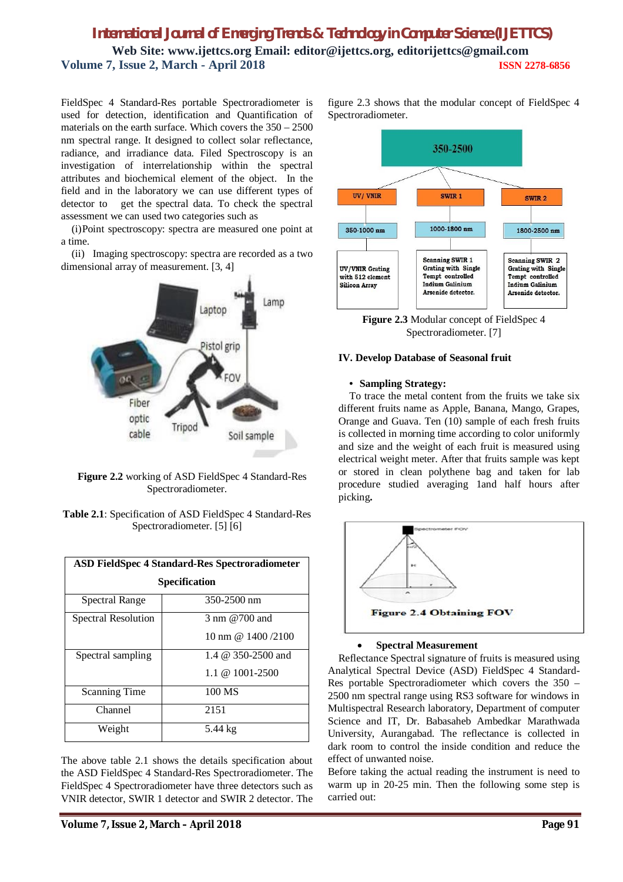FieldSpec 4 Standard-Res portable Spectroradiometer is used for detection, identification and Quantification of materials on the earth surface. Which covers the 350 – 2500 nm spectral range. It designed to collect solar reflectance, radiance, and irradiance data. Filed Spectroscopy is an investigation of interrelationship within the spectral attributes and biochemical element of the object. In the field and in the laboratory we can use different types of detector to get the spectral data. To check the spectral assessment we can used two categories such as

(i)Point spectroscopy: spectra are measured one point at a time.

(ii) Imaging spectroscopy: spectra are recorded as a two dimensional array of measurement. [3, 4]



**Figure 2.2** working of ASD FieldSpec 4 Standard-Res Spectroradiometer.

**Table 2.1**: Specification of ASD FieldSpec 4 Standard-Res Spectroradiometer. [5] [6]

| ASD FieldSpec 4 Standard-Res Spectroradiometer |                          |
|------------------------------------------------|--------------------------|
| <b>Specification</b>                           |                          |
| <b>Spectral Range</b>                          | 350-2500 nm              |
| Spectral Resolution                            | $3 \text{ nm}$ @ 700 and |
|                                                | 10 nm @ $1400/2100$      |
| Spectral sampling                              | 1.4 $@$ 350-2500 and     |
|                                                | $1.1 \& 1001 - 2500$     |
| <b>Scanning Time</b>                           | 100 MS                   |
| Channel                                        | 2151                     |
| Weight                                         | $5.44 \text{ kg}$        |

The above table 2.1 shows the details specification about the ASD FieldSpec 4 Standard-Res Spectroradiometer. The FieldSpec 4 Spectroradiometer have three detectors such as VNIR detector, SWIR 1 detector and SWIR 2 detector. The

figure 2.3 shows that the modular concept of FieldSpec 4 Spectroradiometer.



**Figure 2.3** Modular concept of FieldSpec 4 Spectroradiometer. [7]

### **IV. Develop Database of Seasonal fruit**

### **• Sampling Strategy:**

To trace the metal content from the fruits we take six different fruits name as Apple, Banana, Mango, Grapes, Orange and Guava. Ten (10) sample of each fresh fruits is collected in morning time according to color uniformly and size and the weight of each fruit is measured using electrical weight meter. After that fruits sample was kept or stored in clean polythene bag and taken for lab procedure studied averaging 1and half hours after picking**.**



#### **Spectral Measurement**

Reflectance Spectral signature of fruits is measured using Analytical Spectral Device (ASD) FieldSpec 4 Standard-Res portable Spectroradiometer which covers the 350 – 2500 nm spectral range using RS3 software for windows in Multispectral Research laboratory, Department of computer Science and IT, Dr. Babasaheb Ambedkar Marathwada University, Aurangabad. The reflectance is collected in dark room to control the inside condition and reduce the effect of unwanted noise.

Before taking the actual reading the instrument is need to warm up in 20-25 min. Then the following some step is carried out: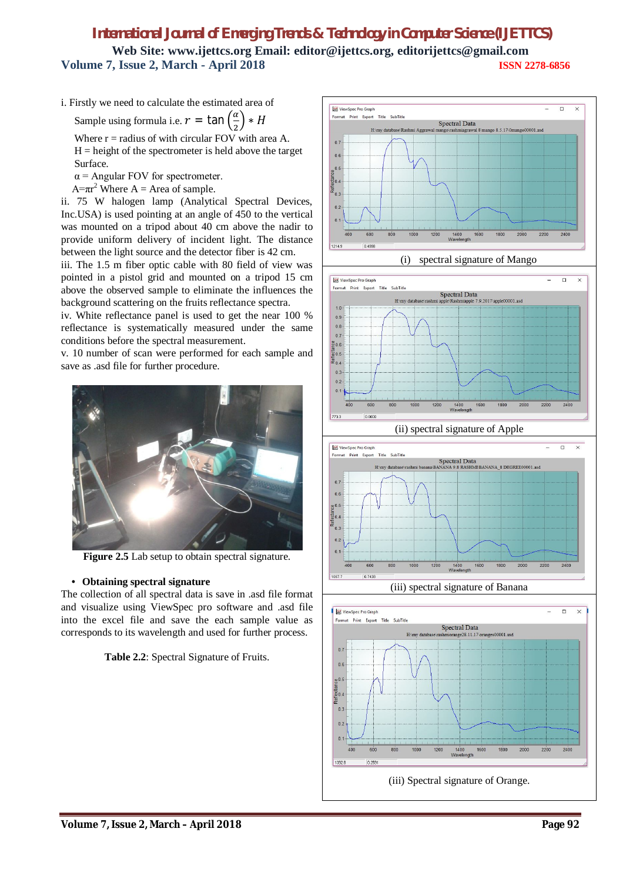i. Firstly we need to calculate the estimated area of

Sample using formula i.e.  $r = \tan \left( \frac{\alpha}{2} \right)$ ଶ  $\big) * H$ 

Where  $r =$  radius of with circular FOV with area A.  $H = height of the spectrometer is held above the target$ 

Surface.

 $\alpha$  = Angular FOV for spectrometer.

 $A=\pi r^2$  Where  $A =$  Area of sample.

ii. 75 W halogen lamp (Analytical Spectral Devices, Inc.USA) is used pointing at an angle of 450 to the vertical was mounted on a tripod about 40 cm above the nadir to provide uniform delivery of incident light. The distance between the light source and the detector fiber is 42 cm.

iii. The 1.5 m fiber optic cable with 80 field of view was pointed in a pistol grid and mounted on a tripod 15 cm above the observed sample to eliminate the influences the background scattering on the fruits reflectance spectra.

iv. White reflectance panel is used to get the near 100 % reflectance is systematically measured under the same conditions before the spectral measurement.

v. 10 number of scan were performed for each sample and save as .asd file for further procedure.



**Figure 2.5** Lab setup to obtain spectral signature.

# **• Obtaining spectral signature**

The collection of all spectral data is save in .asd file format and visualize using ViewSpec pro software and .asd file into the excel file and save the each sample value as corresponds to its wavelength and used for further process.













(iii) spectral signature of Banana

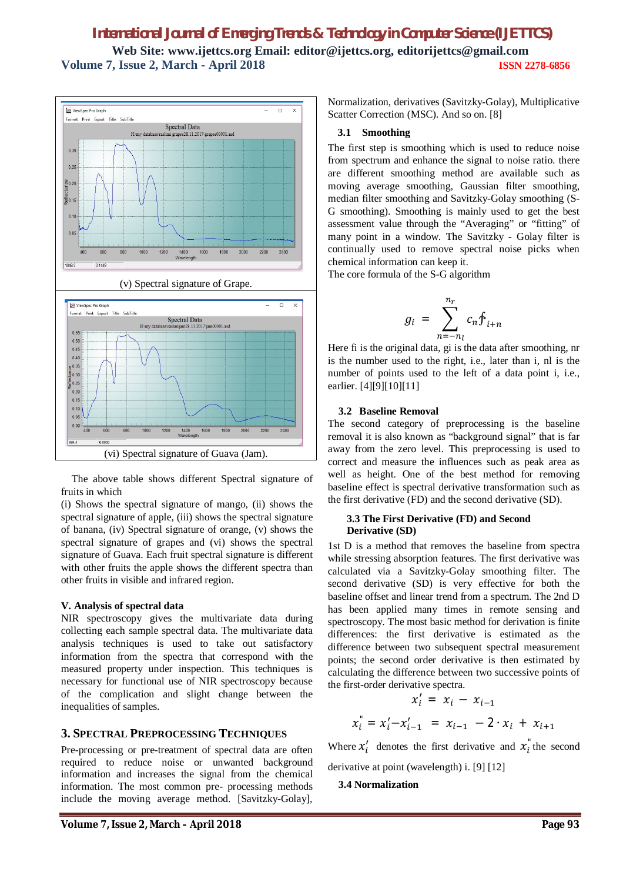

The above table shows different Spectral signature of fruits in which

(i) Shows the spectral signature of mango, (ii) shows the spectral signature of apple, (iii) shows the spectral signature of banana, (iv) Spectral signature of orange, (v) shows the spectral signature of grapes and (vi) shows the spectral signature of Guava. Each fruit spectral signature is different with other fruits the apple shows the different spectra than other fruits in visible and infrared region.

### **V. Analysis of spectral data**

NIR spectroscopy gives the multivariate data during collecting each sample spectral data. The multivariate data analysis techniques is used to take out satisfactory information from the spectra that correspond with the measured property under inspection. This techniques is necessary for functional use of NIR spectroscopy because of the complication and slight change between the inequalities of samples.

### **3. SPECTRAL PREPROCESSING TECHNIQUES**

Pre-processing or pre-treatment of spectral data are often required to reduce noise or unwanted background information and increases the signal from the chemical information. The most common pre- processing methods include the moving average method. [Savitzky-Golay],

Normalization, derivatives (Savitzky-Golay), Multiplicative Scatter Correction (MSC). And so on. [8]

#### **3.1 Smoothing**

The first step is smoothing which is used to reduce noise from spectrum and enhance the signal to noise ratio. there are different smoothing method are available such as moving average smoothing, Gaussian filter smoothing, median filter smoothing and Savitzky-Golay smoothing (S-G smoothing). Smoothing is mainly used to get the best assessment value through the "Averaging" or "fitting" of many point in a window. The Savitzky - Golay filter is continually used to remove spectral noise picks when chemical information can keep it.

The core formula of the S-G algorithm

$$
g_i = \sum_{n=-n_l}^{n_r} c_n f_{i+n}
$$

Here fi is the original data, gi is the data after smoothing, nr is the number used to the right, i.e., later than i, nl is the number of points used to the left of a data point i, i.e., earlier. [4][9][10][11]

### **3.2 Baseline Removal**

The second category of preprocessing is the baseline removal it is also known as "background signal" that is far away from the zero level. This preprocessing is used to correct and measure the influences such as peak area as well as height. One of the best method for removing baseline effect is spectral derivative transformation such as the first derivative (FD) and the second derivative (SD).

#### **3.3 The First Derivative (FD) and Second Derivative (SD)**

1st D is a method that removes the baseline from spectra while stressing absorption features. The first derivative was calculated via a Savitzky-Golay smoothing filter. The second derivative (SD) is very effective for both the baseline offset and linear trend from a spectrum. The 2nd D has been applied many times in remote sensing and spectroscopy. The most basic method for derivation is finite differences: the first derivative is estimated as the difference between two subsequent spectral measurement points; the second order derivative is then estimated by calculating the difference between two successive points of the first-order derivative spectra.

$$
x'_{i} = x_{i} - x_{i-1}
$$
  

$$
x''_{i} = x'_{i} - x'_{i-1} = x_{i-1} - 2 \cdot x_{i} + x_{i+1}
$$

Where  $x'_i$  denotes the first derivative and  $x_i$  the second derivative at point (wavelength) i. [9] [12]

# **3.4 Normalization**